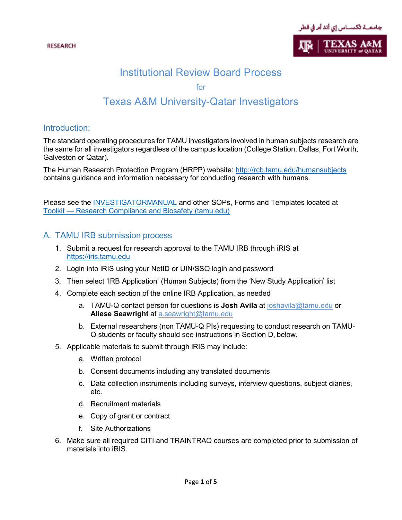

# Institutional Review Board Process

for

# Texas A&M University-Qatar Investigators

### Introduction:

The standard operating procedures for TAMU investigators involved in human subjects research are the same for all investigators regardless of the campus location (College Station, Dallas, Fort Worth, Galveston or Qatar).

The Human Research Protection Program (HRPP) website:<http://rcb.tamu.edu/humansubjects> contains guidance and information necessary for conducting research with humans.

Please see the [INVESTIGATORMANUAL](http://rcb.tamu.edu/humansubjects/resources/HRP103INVESTIGATORMANUAL.6.15.2017.pdf) and other SOPs, Forms and Templates located at Toolkit — [Research Compliance and Biosafety \(tamu.edu\)](https://rcb.tamu.edu/humans/toolkit)

# A. TAMU IRB submission process

- 1. Submit a request for research approval to the TAMU IRB through iRIS at [https://iris.tamu.edu](https://iris.tamu.edu/)
- 2. Login into iRIS using your NetID or UIN/SSO login and password
- 3. Then select 'IRB Application' (Human Subjects) from the 'New Study Application' list
- 4. Complete each section of the online IRB Application, as needed
	- a. TAMU-Q contact person for questions is **Josh Avila** at [joshavila@tamu.edu](mailto:joshavila@tamu.edu) or **Aliese Seawright** at [a.seawright@tamu.edu](mailto:a.seawright@tamu.edu)
	- b. External researchers (non TAMU-Q PIs) requesting to conduct research on TAMU-Q students or faculty should see instructions in Section D, below.
- 5. Applicable materials to submit through iRIS may include:
	- a. Written protocol
	- b. Consent documents including any translated documents
	- c. Data collection instruments including surveys, interview questions, subject diaries, etc.
	- d. Recruitment materials
	- e. Copy of grant or contract
	- f. Site Authorizations
- 6. Make sure all required CITI and TRAINTRAQ courses are completed prior to submission of materials into iRIS.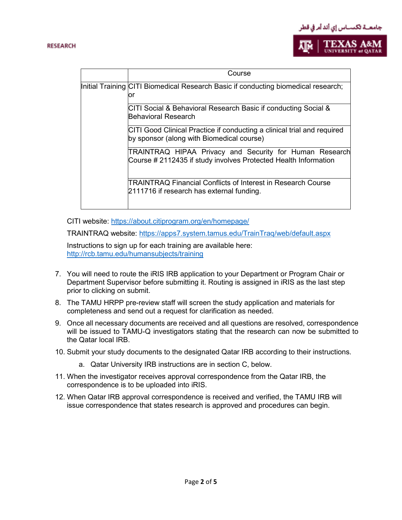



|  | Course                                                                                                                     |
|--|----------------------------------------------------------------------------------------------------------------------------|
|  | Initial Training CITI Biomedical Research Basic if conducting biomedical research;<br>or                                   |
|  | CITI Social & Behavioral Research Basic if conducting Social &<br>Behavioral Research                                      |
|  | CITI Good Clinical Practice if conducting a clinical trial and required<br>by sponsor (along with Biomedical course)       |
|  | TRAINTRAQ HIPAA Privacy and Security for Human Research<br>Course # 2112435 if study involves Protected Health Information |
|  | TRAINTRAQ Financial Conflicts of Interest in Research Course<br>2111716 if research has external funding.                  |

CITI website:<https://about.citiprogram.org/en/homepage/>

TRAINTRAQ website:<https://apps7.system.tamus.edu/TrainTraq/web/default.aspx>

Instructions to sign up for each training are available here: <http://rcb.tamu.edu/humansubjects/training>

- 7. You will need to route the iRIS IRB application to your Department or Program Chair or Department Supervisor before submitting it. Routing is assigned in iRIS as the last step prior to clicking on submit.
- 8. The TAMU HRPP pre-review staff will screen the study application and materials for completeness and send out a request for clarification as needed.
- 9. Once all necessary documents are received and all questions are resolved, correspondence will be issued to TAMU-Q investigators stating that the research can now be submitted to the Qatar local IRB.
- 10. Submit your study documents to the designated Qatar IRB according to their instructions.
	- a. Qatar University IRB instructions are in section C, below.
- 11. When the investigator receives approval correspondence from the Qatar IRB, the correspondence is to be uploaded into iRIS.
- 12. When Qatar IRB approval correspondence is received and verified, the TAMU IRB will issue correspondence that states research is approved and procedures can begin.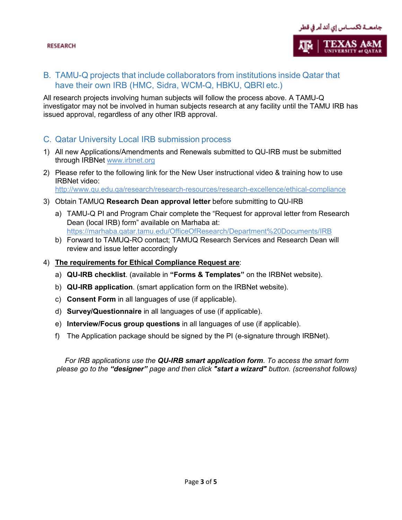

# B. TAMU-Q projects that include collaborators from institutions inside Qatar that have their own IRB (HMC, Sidra, WCM-Q, HBKU, QBRI etc.)

All research projects involving human subjects will follow the process above. A TAMU-Q investigator may not be involved in human subjects research at any facility until the TAMU IRB has issued approval, regardless of any other IRB approval.

## C. Qatar University Local IRB submission process

- 1) All new Applications/Amendments and Renewals submitted to QU-IRB must be submitted through IRBNet [www.irbnet.org](http://www.irbnet.org/)
- 2) Please refer to the following link for the New User instructional video & training how to use IRBNet video: [http://www.qu.edu.qa/research/research-resources/research-excellence/ethical-compliance](https://urldefense.com/v3/__http:/www.qu.edu.qa/research/research-resources/research-excellence/ethical-compliance__;!!Fzn3SsQrJM0!19vBOAELGtio156OHM-dyxlWRGtuSfmL-iMve4CcTVR9iepapAp0NA7r8WIbCauoRku-Ma46D6o$)
- 3) Obtain TAMUQ **Research Dean approval letter** before submitting to QU-IRB
	- a) TAMU-Q PI and Program Chair complete the "Request for approval letter from Research Dean (local IRB) form" available on Marhaba at: <https://marhaba.qatar.tamu.edu/OfficeOfResearch/Department%20Documents/IRB>
	- b) Forward to TAMUQ-RO contact; TAMUQ Research Services and Research Dean will review and issue letter accordingly

#### 4) **The requirements for Ethical Compliance Request are**:

- a) **QU-IRB checklist**. (available in **"Forms & Templates"** on the IRBNet website).
- b) **QU-IRB application**. (smart application form on the IRBNet website).
- c) **Consent Form** in all languages of use (if applicable).
- d) **Survey/Questionnaire** in all languages of use (if applicable).
- e) **Interview/Focus group questions** in all languages of use (if applicable).
- f) The Application package should be signed by the PI (e-signature through IRBNet).

*For IRB applications use the QU-IRB smart application form. To access the smart form please go to the "designer" page and then click "start a wizard" button. (screenshot follows)*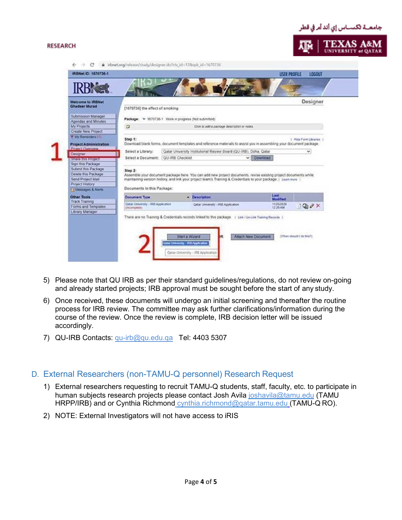#### **RESEARCH**



| <b>Welcome to IRBNet</b><br><b>Ghadear Murad</b>                                                                                                                                                                                                    | Designer<br>[1670736] the effect of smoking<br>Package: v 1670736-1 Work in progress (Not submitted)           |  |                                                                                                                                                                                                                                                                                                                                                                                                                                |                       |                              |  |
|-----------------------------------------------------------------------------------------------------------------------------------------------------------------------------------------------------------------------------------------------------|----------------------------------------------------------------------------------------------------------------|--|--------------------------------------------------------------------------------------------------------------------------------------------------------------------------------------------------------------------------------------------------------------------------------------------------------------------------------------------------------------------------------------------------------------------------------|-----------------------|------------------------------|--|
| Submission Manager<br>Agendas and Minutes                                                                                                                                                                                                           |                                                                                                                |  |                                                                                                                                                                                                                                                                                                                                                                                                                                |                       |                              |  |
| My Projects<br>Create New Project                                                                                                                                                                                                                   | $\Box$<br>Click to add a package description or notes.                                                         |  |                                                                                                                                                                                                                                                                                                                                                                                                                                |                       |                              |  |
| Y My Reminders (1)<br><b>Project Administration</b><br>Project Overview<br><b>Designer</b><br>SMING USS PRODUCT<br>Sign this Package<br>Submit this Package<br>Delete this Package<br>Send Project Mail<br>Project History<br>Fil Messages & Alertx | Step 1:<br>Select a Library:<br>Select a Document:   QU-IRB Checklist<br>Step 2:<br>Documents in this Package: |  | Download blank forms, document templates and reference materials to assist you in assembling your document package.<br>Qatar University Institutional Review Board (QU-IRB), Doha, Qatar<br>Assemble your document package here. You can add new project documents, revise existing project documents while<br>maintaining version history, and link your project team's Training & Credentials to your package. I Lean more 1 | $\vee$ Download       | 1 Hide Form Libraries 1<br>v |  |
| Other Tools                                                                                                                                                                                                                                         | Document Type                                                                                                  |  | - Description                                                                                                                                                                                                                                                                                                                                                                                                                  | Last<br>Modified      |                              |  |
| <b>Track Training</b><br>Forms and Templates<br>Library Manager                                                                                                                                                                                     | Qatar University - 193 Application<br>(incorratinte)                                                           |  | Gatar University - IRB Application<br>There are no Training & Credentials records linked to this package. 1 Link / Un-Link Training Records 1                                                                                                                                                                                                                                                                                  | 1105/2020<br>12:25 AM | $Q_0 \times$                 |  |

- 5) Please note that QU IRB as per their standard guidelines/regulations, do not review on-going and already started projects; IRB approval must be sought before the start of any study.
- 6) Once received, these documents will undergo an initial screening and thereafter the routine process for IRB review. The committee may ask further clarifications/information during the course of the review. Once the review is complete, IRB decision letter will be issued accordingly.
- 7) QU-IRB Contacts: [qu-irb@qu.edu.qa](mailto:qu-irb@qu.edu.qa) Tel: 4403 5307

# D. External Researchers (non-TAMU-Q personnel) Research Request

- 1) External researchers requesting to recruit TAMU-Q students, staff, faculty, etc. to participate in human subjects research projects please contact Josh Avila [joshavila@tamu.edu](mailto:joshavila@tamu.edu) (TAMU HRPP/IRB) and or Cynthia Richmond cynthia.richmond@gatar.tamu.edu (TAMU-Q RO).
- 2) NOTE: External Investigators will not have access to iRIS